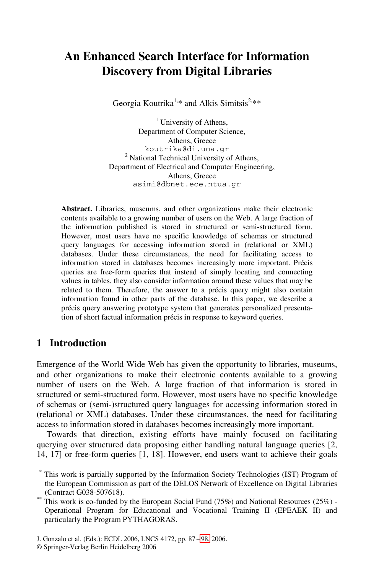# **An Enhanced Search Interface for Information Discovery from Digital Libraries**

Georgia Koutrika<sup>1,\*</sup> and Alkis Simitsis<sup>2,\*\*</sup>

<sup>1</sup> University of Athens, Department of Computer Science, Athens, Greece koutrika@di.uoa.gr <sup>2</sup> National Technical University of Athens, Department of Electrical and Computer Engineering, Athens, Greece asimi@dbnet.ece.ntua.gr

**Abstract.** Libraries, museums, and other organizations make their electronic contents available to a growing number of users on the Web. A large fraction of the information published is stored in structured or semi-structured form. However, most users have no specific knowledge of schemas or structured query languages for accessing information stored in (relational or XML) databases. Under these circumstances, the need for facilitating access to information stored in databases becomes increasingly more important. Précis queries are free-form queries that instead of simply locating and connecting values in tables, they also consider information around these values that may be related to them. Therefore, the answer to a précis query might also contain information found in other parts of the database. In this paper, we describe a précis query answering prototype system that generates personalized presentation of short factual information précis in response to keyword queries.

## **1 Introduction**

j

Emergence of the World Wide Web has given the opportunity to libraries, museums, and other organizations to make their electronic contents available to a growing number of users on the Web. A large fraction of that information is stored in structured or semi-structured form. However, most users have no specific knowledge of schemas or (semi-)structured query languages for accessing information stored in (relational or XML) databases. Under these circumstances, the need for facilitating access to information stored in databases becomes increasingly more important.

Towards that direction, existing efforts have mainly focused on facilitating querying over structured data proposing either handling natural language queries [2, 14, 17] or free-form queries [1, 18]. However, end users want to achieve their goals

<sup>\*\*</sup> This work is partially supported by the Information Society Technologies (IST) Program of the European Commission as part of the DELOS Network of Excellence on Digital Libraries (Contract G038-507618). This work is co-funded by the European Social Fund (75%) and National Resources (25%) -

Operational Program for Educational and Vocational Training II (EPEAEK II) and particularly the Program PYTHAGORAS.

J. Gonzalo et al. (Eds.): ECDL 2006, LNCS 4172, pp. 87 – [98,](#page-11-0) 2006.

<sup>©</sup> Springer-Verlag Berlin Heidelberg 2006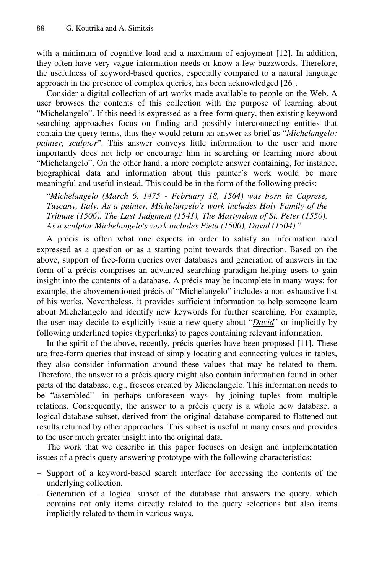with a minimum of cognitive load and a maximum of enjoyment [12]. In addition, they often have very vague information needs or know a few buzzwords. Therefore, the usefulness of keyword-based queries, especially compared to a natural language approach in the presence of complex queries, has been acknowledged [26].

Consider a digital collection of art works made available to people on the Web. A user browses the contents of this collection with the purpose of learning about "Michelangelo". If this need is expressed as a free-form query, then existing keyword searching approaches focus on finding and possibly interconnecting entities that contain the query terms, thus they would return an answer as brief as "*Michelangelo: painter, sculptor*". This answer conveys little information to the user and more importantly does not help or encourage him in searching or learning more about "Michelangelo". On the other hand, a more complete answer containing, for instance, biographical data and information about this painter's work would be more meaningful and useful instead. This could be in the form of the following précis:

"*Michelangelo (March 6, 1475 - February 18, 1564) was born in Caprese, Tuscany, Italy. As a painter, Michelangelo's work includes Holy Family of the Tribune (1506), The Last Judgment (1541), The Martyrdom of St. Peter (1550). As a sculptor Michelangelo's work includes Pieta (1500), David (1504).*"

A précis is often what one expects in order to satisfy an information need expressed as a question or as a starting point towards that direction. Based on the above, support of free-form queries over databases and generation of answers in the form of a précis comprises an advanced searching paradigm helping users to gain insight into the contents of a database. A précis may be incomplete in many ways; for example, the abovementioned précis of "Michelangelo" includes a non-exhaustive list of his works. Nevertheless, it provides sufficient information to help someone learn about Michelangelo and identify new keywords for further searching. For example, the user may decide to explicitly issue a new query about "*David*" or implicitly by following underlined topics (hyperlinks) to pages containing relevant information.

In the spirit of the above, recently, précis queries have been proposed [11]. These are free-form queries that instead of simply locating and connecting values in tables, they also consider information around these values that may be related to them. Therefore, the answer to a précis query might also contain information found in other parts of the database, e.g., frescos created by Michelangelo. This information needs to be "assembled" -in perhaps unforeseen ways- by joining tuples from multiple relations. Consequently, the answer to a précis query is a whole new database, a logical database subset, derived from the original database compared to flattened out results returned by other approaches. This subset is useful in many cases and provides to the user much greater insight into the original data.

The work that we describe in this paper focuses on design and implementation issues of a précis query answering prototype with the following characteristics:

- − Support of a keyword-based search interface for accessing the contents of the underlying collection.
- − Generation of a logical subset of the database that answers the query, which contains not only items directly related to the query selections but also items implicitly related to them in various ways.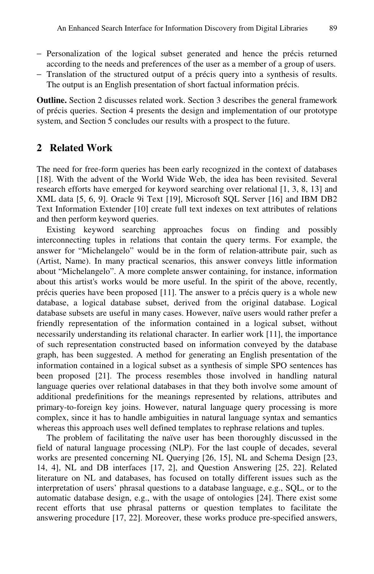- − Personalization of the logical subset generated and hence the précis returned according to the needs and preferences of the user as a member of a group of users.
- − Translation of the structured output of a précis query into a synthesis of results. The output is an English presentation of short factual information précis.

**Outline.** Section 2 discusses related work. Section 3 describes the general framework of précis queries. Section 4 presents the design and implementation of our prototype system, and Section 5 concludes our results with a prospect to the future.

### **2 Related Work**

The need for free-form queries has been early recognized in the context of databases [18]. With the advent of the World Wide Web, the idea has been revisited. Several research efforts have emerged for keyword searching over relational [1, 3, 8, 13] and XML data [5, 6, 9]. Oracle 9i Text [19], Microsoft SQL Server [16] and IBM DB2 Text Information Extender [10] create full text indexes on text attributes of relations and then perform keyword queries.

Existing keyword searching approaches focus on finding and possibly interconnecting tuples in relations that contain the query terms. For example, the answer for "Michelangelo" would be in the form of relation-attribute pair, such as (Artist, Name). In many practical scenarios, this answer conveys little information about "Michelangelo". A more complete answer containing, for instance, information about this artist's works would be more useful. In the spirit of the above, recently, précis queries have been proposed [11]. The answer to a précis query is a whole new database, a logical database subset, derived from the original database. Logical database subsets are useful in many cases. However, naïve users would rather prefer a friendly representation of the information contained in a logical subset, without necessarily understanding its relational character. In earlier work [11], the importance of such representation constructed based on information conveyed by the database graph, has been suggested. A method for generating an English presentation of the information contained in a logical subset as a synthesis of simple SPO sentences has been proposed [21]. The process resembles those involved in handling natural language queries over relational databases in that they both involve some amount of additional predefinitions for the meanings represented by relations, attributes and primary-to-foreign key joins. However, natural language query processing is more complex, since it has to handle ambiguities in natural language syntax and semantics whereas this approach uses well defined templates to rephrase relations and tuples.

The problem of facilitating the naïve user has been thoroughly discussed in the field of natural language processing (NLP). For the last couple of decades, several works are presented concerning NL Querying [26, 15], NL and Schema Design [23, 14, 4], NL and DB interfaces [17, 2], and Question Answering [25, 22]. Related literature on NL and databases, has focused on totally different issues such as the interpretation of users' phrasal questions to a database language, e.g., SQL, or to the automatic database design, e.g., with the usage of ontologies [24]. There exist some recent efforts that use phrasal patterns or question templates to facilitate the answering procedure [17, 22]. Moreover, these works produce pre-specified answers,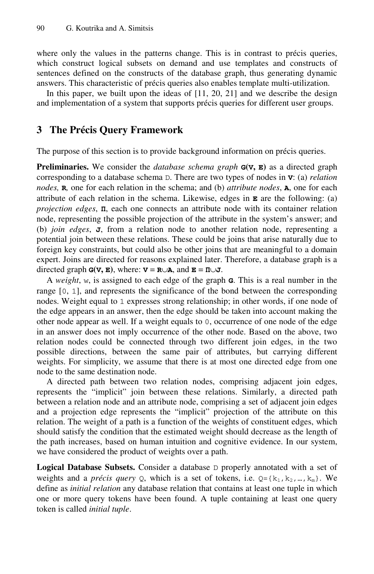where only the values in the patterns change. This is in contrast to précis queries, which construct logical subsets on demand and use templates and constructs of sentences defined on the constructs of the database graph, thus generating dynamic answers. This characteristic of précis queries also enables template multi-utilization.

In this paper, we built upon the ideas of  $[11, 20, 21]$  and we describe the design and implementation of a system that supports précis queries for different user groups.

### **3 The Précis Query Framework**

The purpose of this section is to provide background information on précis queries.

**Preliminaries.** We consider the *database schema graph* **G(V, E)** as a directed graph corresponding to a database schema D. There are two types of nodes in **V**: (a) *relation nodes,* **R***,* one for each relation in the schema; and (b) *attribute nodes*, **A**, one for each attribute of each relation in the schema. Likewise, edges in **E** are the following: (a) *projection edges*, **Π**, each one connects an attribute node with its container relation node, representing the possible projection of the attribute in the system's answer; and (b) *join edges*, **J**, from a relation node to another relation node, representing a potential join between these relations. These could be joins that arise naturally due to foreign key constraints, but could also be other joins that are meaningful to a domain expert. Joins are directed for reasons explained later. Therefore, a database graph is a directed graph  $G$ **(** $V$ **, E**), where:  $V = R \cup A$ , and  $E = \Pi \cup J$ .

A *weight*, w, is assigned to each edge of the graph **G**. This is a real number in the range [0, 1], and represents the significance of the bond between the corresponding nodes. Weight equal to 1 expresses strong relationship; in other words, if one node of the edge appears in an answer, then the edge should be taken into account making the other node appear as well. If a weight equals to 0, occurrence of one node of the edge in an answer does not imply occurrence of the other node. Based on the above, two relation nodes could be connected through two different join edges, in the two possible directions, between the same pair of attributes, but carrying different weights. For simplicity, we assume that there is at most one directed edge from one node to the same destination node.

A directed path between two relation nodes, comprising adjacent join edges, represents the "implicit" join between these relations. Similarly, a directed path between a relation node and an attribute node, comprising a set of adjacent join edges and a projection edge represents the "implicit" projection of the attribute on this relation. The weight of a path is a function of the weights of constituent edges, which should satisfy the condition that the estimated weight should decrease as the length of the path increases, based on human intuition and cognitive evidence. In our system, we have considered the product of weights over a path.

**Logical Database Subsets.** Consider a database D properly annotated with a set of weights and a *précis query* Q, which is a set of tokens, i.e.  $Q = \{k_1, k_2, ..., k_m\}$ . We define as *initial relation* any database relation that contains at least one tuple in which one or more query tokens have been found. A tuple containing at least one query token is called *initial tuple*.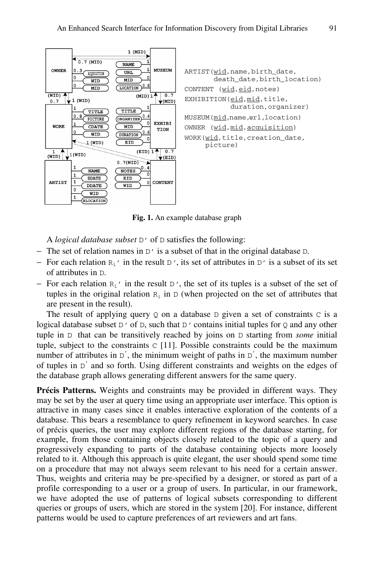

**Fig. 1.** An example database graph

A *logical database subset* D' of D satisfies the following:

- − The set of relation names in D' is a subset of that in the original database D.
- $-$  For each relation  $R_i'$  in the result D', its set of attributes in D' is a subset of its set of attributes in D.
- $-$  For each relation  $R_i$ <sup>'</sup> in the result D', the set of its tuples is a subset of the set of tuples in the original relation  $R_i$  in D (when projected on the set of attributes that are present in the result).

The result of applying query  $Q$  on a database  $D$  given a set of constraints  $C$  is a logical database subset  $D'$  of D, such that  $D'$  contains initial tuples for Q and any other tuple in D that can be transitively reached by joins on D starting from *some* initial tuple, subject to the constraints  $C$  [11]. Possible constraints could be the maximum number of attributes in  $D'$ , the minimum weight of paths in  $D'$ , the maximum number of tuples in  $D'$  and so forth. Using different constraints and weights on the edges of the database graph allows generating different answers for the same query.

**Précis Patterns.** Weights and constraints may be provided in different ways. They may be set by the user at query time using an appropriate user interface. This option is attractive in many cases since it enables interactive exploration of the contents of a database. This bears a resemblance to query refinement in keyword searches. In case of précis queries, the user may explore different regions of the database starting, for example, from those containing objects closely related to the topic of a query and progressively expanding to parts of the database containing objects more loosely related to it. Although this approach is quite elegant, the user should spend some time on a procedure that may not always seem relevant to his need for a certain answer. Thus, weights and criteria may be pre-specified by a designer, or stored as part of a profile corresponding to a user or a group of users. In particular, in our framework, we have adopted the use of patterns of logical subsets corresponding to different queries or groups of users, which are stored in the system [20]. For instance, different patterns would be used to capture preferences of art reviewers and art fans.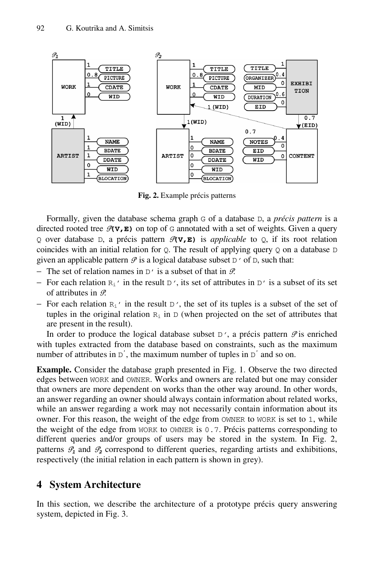

**Fig. 2.** Example précis patterns

Formally, given the database schema graph G of a database D, a *précis pattern* is a directed rooted tree  $\mathcal{P}(v, \mathbf{E})$  on top of G annotated with a set of weights. Given a query Q over database D, a précis pattern  $\mathcal{P}(v, E)$  is *applicable* to Q, if its root relation coincides with an initial relation for  $\circ$ . The result of applying query  $\circ$  on a database  $\circ$ given an applicable pattern  $\mathcal P$  is a logical database subset  $D'$  of D, such that:

- $-$  The set of relation names in  $\nu'$  is a subset of that in  $\mathscr{P}$ .
- $-$  For each relation  $R_i'$  in the result D', its set of attributes in D' is a subset of its set of attributes in  $\mathcal{P}$ .
- − For each relation Ri' in the result D', the set of its tuples is a subset of the set of tuples in the original relation  $R_i$  in D (when projected on the set of attributes that are present in the result).

In order to produce the logical database subset  $D'$ , a précis pattern  $\mathcal{P}$  is enriched with tuples extracted from the database based on constraints, such as the maximum number of attributes in  $D'$ , the maximum number of tuples in  $D'$  and so on.

**Example.** Consider the database graph presented in Fig. 1. Observe the two directed edges between WORK and OWNER. Works and owners are related but one may consider that owners are more dependent on works than the other way around. In other words, an answer regarding an owner should always contain information about related works, while an answer regarding a work may not necessarily contain information about its owner. For this reason, the weight of the edge from OWNER to WORK is set to 1, while the weight of the edge from WORK to OWNER is 0.7. Précis patterns corresponding to different queries and/or groups of users may be stored in the system. In Fig. 2, patterns  $\mathcal{P}_1$  and  $\mathcal{P}_2$  correspond to different queries, regarding artists and exhibitions, respectively (the initial relation in each pattern is shown in grey).

## **4 System Architecture**

In this section, we describe the architecture of a prototype précis query answering system, depicted in Fig. 3.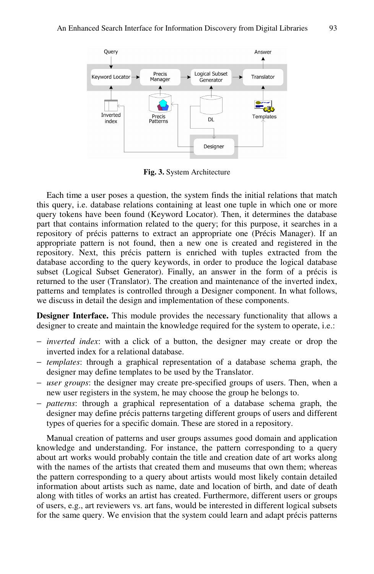

**Fig. 3.** System Architecture

Each time a user poses a question, the system finds the initial relations that match this query, i.e. database relations containing at least one tuple in which one or more query tokens have been found (Keyword Locator). Then, it determines the database part that contains information related to the query; for this purpose, it searches in a repository of précis patterns to extract an appropriate one (Précis Manager). If an appropriate pattern is not found, then a new one is created and registered in the repository. Next, this précis pattern is enriched with tuples extracted from the database according to the query keywords, in order to produce the logical database subset (Logical Subset Generator). Finally, an answer in the form of a précis is returned to the user (Translator). The creation and maintenance of the inverted index, patterns and templates is controlled through a Designer component. In what follows, we discuss in detail the design and implementation of these components.

**Designer Interface.** This module provides the necessary functionality that allows a designer to create and maintain the knowledge required for the system to operate, i.e.:

- − *inverted index*: with a click of a button, the designer may create or drop the inverted index for a relational database.
- − *templates*: through a graphical representation of a database schema graph, the designer may define templates to be used by the Translator.
- − *user groups*: the designer may create pre-specified groups of users. Then, when a new user registers in the system, he may choose the group he belongs to.
- − *patterns*: through a graphical representation of a database schema graph, the designer may define précis patterns targeting different groups of users and different types of queries for a specific domain. These are stored in a repository.

Manual creation of patterns and user groups assumes good domain and application knowledge and understanding. For instance, the pattern corresponding to a query about art works would probably contain the title and creation date of art works along with the names of the artists that created them and museums that own them; whereas the pattern corresponding to a query about artists would most likely contain detailed information about artists such as name, date and location of birth, and date of death along with titles of works an artist has created. Furthermore, different users or groups of users, e.g., art reviewers vs. art fans, would be interested in different logical subsets for the same query. We envision that the system could learn and adapt précis patterns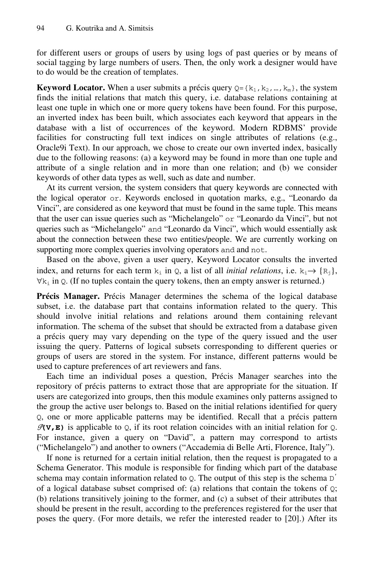for different users or groups of users by using logs of past queries or by means of social tagging by large numbers of users. Then, the only work a designer would have to do would be the creation of templates.

**Keyword Locator.** When a user submits a précis query  $Q = \{k_1, k_2, ..., k_m\}$ , the system finds the initial relations that match this query, i.e. database relations containing at least one tuple in which one or more query tokens have been found. For this purpose, an inverted index has been built, which associates each keyword that appears in the database with a list of occurrences of the keyword. Modern RDBMS' provide facilities for constructing full text indices on single attributes of relations (e.g., Oracle9i Text). In our approach, we chose to create our own inverted index, basically due to the following reasons: (a) a keyword may be found in more than one tuple and attribute of a single relation and in more than one relation; and (b) we consider keywords of other data types as well, such as date and number.

At its current version, the system considers that query keywords are connected with the logical operator or. Keywords enclosed in quotation marks, e.g., "Leonardo da Vinci", are considered as one keyword that must be found in the same tuple. This means that the user can issue queries such as "Michelangelo" or "Leonardo da Vinci", but not queries such as "Michelangelo" and "Leonardo da Vinci", which would essentially ask about the connection between these two entities/people. We are currently working on supporting more complex queries involving operators and and not.

Based on the above, given a user query, Keyword Locator consults the inverted index, and returns for each term k<sub>i</sub> in  $\varphi$ , a list of all *initial relations*, i.e. k<sub>i</sub>  $\rightarrow$  {R<sub>i</sub>},  $\forall k_i$  in Q. (If no tuples contain the query tokens, then an empty answer is returned.)

**Précis Manager.** Précis Manager determines the schema of the logical database subset, i.e. the database part that contains information related to the query. This should involve initial relations and relations around them containing relevant information. The schema of the subset that should be extracted from a database given a précis query may vary depending on the type of the query issued and the user issuing the query. Patterns of logical subsets corresponding to different queries or groups of users are stored in the system. For instance, different patterns would be used to capture preferences of art reviewers and fans.

Each time an individual poses a question, Précis Manager searches into the repository of précis patterns to extract those that are appropriate for the situation. If users are categorized into groups, then this module examines only patterns assigned to the group the active user belongs to. Based on the initial relations identified for query Q, one or more applicable patterns may be identified. Recall that a précis pattern  $\mathcal{P}(\mathbf{v}, \mathbf{E})$  is applicable to  $\varphi$ , if its root relation coincides with an initial relation for  $\varphi$ . For instance, given a query on "David", a pattern may correspond to artists ("Michelangelo") and another to owners ("Accademia di Belle Arti, Florence, Italy").

If none is returned for a certain initial relation, then the request is propagated to a Schema Generator. This module is responsible for finding which part of the database schema may contain information related to  $Q$ . The output of this step is the schema  $D'$ of a logical database subset comprised of: (a) relations that contain the tokens of  $Q$ ; (b) relations transitively joining to the former, and (c) a subset of their attributes that should be present in the result, according to the preferences registered for the user that poses the query. (For more details, we refer the interested reader to [20].) After its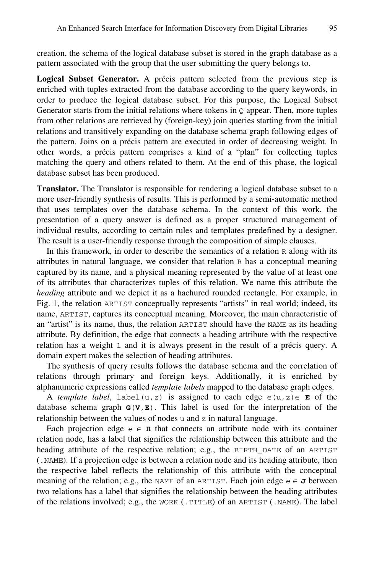creation, the schema of the logical database subset is stored in the graph database as a pattern associated with the group that the user submitting the query belongs to.

**Logical Subset Generator.** A précis pattern selected from the previous step is enriched with tuples extracted from the database according to the query keywords, in order to produce the logical database subset. For this purpose, the Logical Subset Generator starts from the initial relations where tokens in  $\circ$  appear. Then, more tuples from other relations are retrieved by (foreign-key) join queries starting from the initial relations and transitively expanding on the database schema graph following edges of the pattern. Joins on a précis pattern are executed in order of decreasing weight. In other words, a précis pattern comprises a kind of a "plan" for collecting tuples matching the query and others related to them. At the end of this phase, the logical database subset has been produced.

**Translator.** The Translator is responsible for rendering a logical database subset to a more user-friendly synthesis of results. This is performed by a semi-automatic method that uses templates over the database schema. In the context of this work, the presentation of a query answer is defined as a proper structured management of individual results, according to certain rules and templates predefined by a designer. The result is a user-friendly response through the composition of simple clauses.

In this framework, in order to describe the semantics of a relation R along with its attributes in natural language, we consider that relation R has a conceptual meaning captured by its name, and a physical meaning represented by the value of at least one of its attributes that characterizes tuples of this relation. We name this attribute the *heading* attribute and we depict it as a hachured rounded rectangle. For example, in Fig. 1, the relation ARTIST conceptually represents "artists" in real world; indeed, its name, ARTIST, captures its conceptual meaning. Moreover, the main characteristic of an "artist" is its name, thus, the relation ARTIST should have the NAME as its heading attribute. By definition, the edge that connects a heading attribute with the respective relation has a weight 1 and it is always present in the result of a précis query. A domain expert makes the selection of heading attributes.

The synthesis of query results follows the database schema and the correlation of relations through primary and foreign keys. Additionally, it is enriched by alphanumeric expressions called *template labels* mapped to the database graph edges.

A *template label*, label(u,z) is assigned to each edge  $e(u, z) \in \mathbf{E}$  of the database schema graph **G**(**V**,**E**). This label is used for the interpretation of the relationship between the values of nodes u and z in natural language.

Each projection edge  $\in$  **Π** that connects an attribute node with its container relation node, has a label that signifies the relationship between this attribute and the heading attribute of the respective relation; e.g., the BIRTH\_DATE of an ARTIST (.NAME). If a projection edge is between a relation node and its heading attribute, then the respective label reflects the relationship of this attribute with the conceptual meaning of the relation; e.g., the NAME of an ARTIST. Each join edge  $e \in J$  between two relations has a label that signifies the relationship between the heading attributes of the relations involved; e.g., the WORK (.TITLE) of an ARTIST (.NAME). The label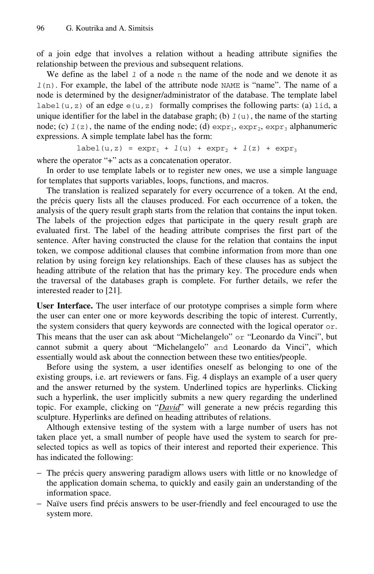of a join edge that involves a relation without a heading attribute signifies the relationship between the previous and subsequent relations.

We define as the label  $1$  of a node n the name of the node and we denote it as  $l(n)$ . For example, the label of the attribute node NAME is "name". The name of a node is determined by the designer/administrator of the database. The template label label (u, z) of an edge  $e(u, z)$  formally comprises the following parts: (a) lid, a unique identifier for the label in the database graph; (b)  $1(u)$ , the name of the starting node; (c)  $1(z)$ , the name of the ending node; (d)  $\exp r_1$ ,  $\exp r_2$ ,  $\exp r_3$  alphanumeric expressions. A simple template label has the form:

 $label(u, z) = expr_1 + l(u) + expr_2 + l(z) + expr_3$ 

where the operator "+" acts as a concatenation operator.

In order to use template labels or to register new ones, we use a simple language for templates that supports variables, loops, functions, and macros.

The translation is realized separately for every occurrence of a token. At the end, the précis query lists all the clauses produced. For each occurrence of a token, the analysis of the query result graph starts from the relation that contains the input token. The labels of the projection edges that participate in the query result graph are evaluated first. The label of the heading attribute comprises the first part of the sentence. After having constructed the clause for the relation that contains the input token, we compose additional clauses that combine information from more than one relation by using foreign key relationships. Each of these clauses has as subject the heading attribute of the relation that has the primary key. The procedure ends when the traversal of the databases graph is complete. For further details, we refer the interested reader to [21].

**User Interface.** The user interface of our prototype comprises a simple form where the user can enter one or more keywords describing the topic of interest. Currently, the system considers that query keywords are connected with the logical operator or. This means that the user can ask about "Michelangelo" or "Leonardo da Vinci", but cannot submit a query about "Michelangelo" and Leonardo da Vinci", which essentially would ask about the connection between these two entities/people.

Before using the system, a user identifies oneself as belonging to one of the existing groups, i.e. art reviewers or fans. Fig. 4 displays an example of a user query and the answer returned by the system. Underlined topics are hyperlinks. Clicking such a hyperlink, the user implicitly submits a new query regarding the underlined topic. For example, clicking on "*David*" will generate a new précis regarding this sculpture. Hyperlinks are defined on heading attributes of relations.

Although extensive testing of the system with a large number of users has not taken place yet, a small number of people have used the system to search for preselected topics as well as topics of their interest and reported their experience. This has indicated the following:

- − The précis query answering paradigm allows users with little or no knowledge of the application domain schema, to quickly and easily gain an understanding of the information space.
- − Naïve users find précis answers to be user-friendly and feel encouraged to use the system more.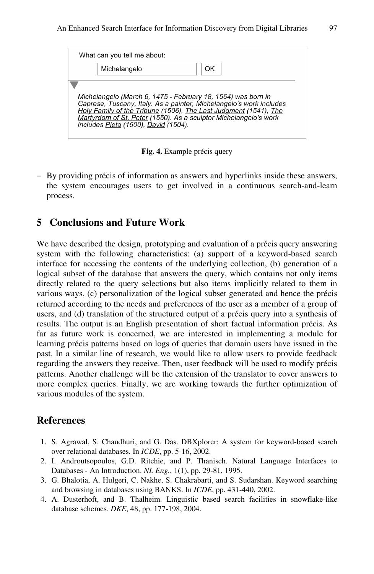| What can you tell me about:                                                                                                                                                                                                                                                                                         |              |    |
|---------------------------------------------------------------------------------------------------------------------------------------------------------------------------------------------------------------------------------------------------------------------------------------------------------------------|--------------|----|
|                                                                                                                                                                                                                                                                                                                     | Michelangelo | ΩK |
| Michelangelo (March 6, 1475 - February 18, 1564) was born in<br>Caprese, Tuscany, Italy. As a painter, Michelangelo's work includes<br>Holy Family of the Tribune (1506), The Last Judgment (1541), The<br>Martyrdom of St. Peter (1550). As a sculptor Michelangelo's work<br>includes Pieta (1500), David (1504). |              |    |

**Fig. 4.** Example précis query

− By providing précis of information as answers and hyperlinks inside these answers, the system encourages users to get involved in a continuous search-and-learn process.

## **5 Conclusions and Future Work**

We have described the design, prototyping and evaluation of a précis query answering system with the following characteristics: (a) support of a keyword-based search interface for accessing the contents of the underlying collection, (b) generation of a logical subset of the database that answers the query, which contains not only items directly related to the query selections but also items implicitly related to them in various ways, (c) personalization of the logical subset generated and hence the précis returned according to the needs and preferences of the user as a member of a group of users, and (d) translation of the structured output of a précis query into a synthesis of results. The output is an English presentation of short factual information précis. As far as future work is concerned, we are interested in implementing a module for learning précis patterns based on logs of queries that domain users have issued in the past. In a similar line of research, we would like to allow users to provide feedback regarding the answers they receive. Then, user feedback will be used to modify précis patterns. Another challenge will be the extension of the translator to cover answers to more complex queries. Finally, we are working towards the further optimization of various modules of the system.

#### **References**

- 1. S. Agrawal, S. Chaudhuri, and G. Das. DBXplorer: A system for keyword-based search over relational databases. In *ICDE*, pp. 5-16, 2002.
- 2. I. Androutsopoulos, G.D. Ritchie, and P. Thanisch. Natural Language Interfaces to Databases - An Introduction. *NL Eng.*, 1(1), pp. 29-81, 1995.
- 3. G. Bhalotia, A. Hulgeri, C. Nakhe, S. Chakrabarti, and S. Sudarshan. Keyword searching and browsing in databases using BANKS. In *ICDE*, pp. 431-440, 2002.
- 4. A. Dusterhoft, and B. Thalheim. Linguistic based search facilities in snowflake-like database schemes. *DKE*, 48, pp. 177-198, 2004.